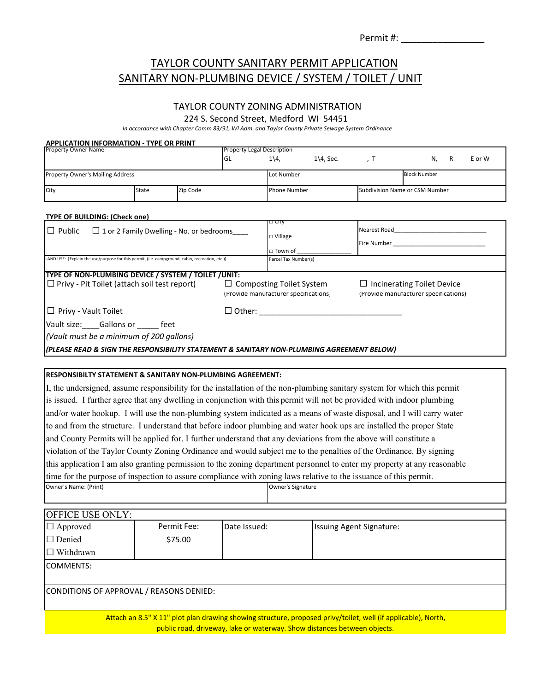| Permit#: |  |
|----------|--|
|          |  |

### TAYLOR COUNTY SANITARY PERMIT APPLICATION SANITARY NON‐PLUMBING DEVICE / SYSTEM / TOILET / UNIT

### TAYLOR COUNTY ZONING ADMINISTRATION

224 S. Second Street, Medford WI 54451

In accordance with Chapter Comm 83/91, WI Adm. and Taylor County Private Sewage System Ordinance

| <b>APPLICATION INFORMATION - TYPE OR PRINT</b>                                                                           |       |             | <b>Property Legal Description</b> |                                                                          |                        |                          |                                                                            |   |        |
|--------------------------------------------------------------------------------------------------------------------------|-------|-------------|-----------------------------------|--------------------------------------------------------------------------|------------------------|--------------------------|----------------------------------------------------------------------------|---|--------|
| <b>Property Owner Name</b>                                                                                               |       |             | GL                                | $1\backslash 4$                                                          | $1\overline{4}$ , Sec. | , T                      | N,                                                                         | R | E or W |
| <b>Property Owner's Mailing Address</b>                                                                                  |       |             | Lot Number                        |                                                                          | <b>Block Number</b>    |                          |                                                                            |   |        |
| City                                                                                                                     | State | Zip Code    |                                   | Phone Number                                                             |                        |                          | Subdivision Name or CSM Number                                             |   |        |
|                                                                                                                          |       |             |                                   |                                                                          |                        |                          |                                                                            |   |        |
| <b>TYPE OF BUILDING: (Check one)</b>                                                                                     |       |             |                                   | _⊢⊂ity                                                                   |                        |                          |                                                                            |   |        |
| $\Box$ Public<br>$\Box$ 1 or 2 Family Dwelling - No. or bedrooms                                                         |       |             |                                   |                                                                          |                        |                          |                                                                            |   |        |
|                                                                                                                          |       |             | □ Village                         |                                                                          |                        |                          |                                                                            |   |        |
| LAND USE: [Explain the use/purpose for this permit, (i.e. campground, cabin, recreation, etc.)]                          |       |             |                                   | □ Town of<br>Parcel Tax Number(s)                                        |                        |                          |                                                                            |   |        |
|                                                                                                                          |       |             |                                   |                                                                          |                        |                          |                                                                            |   |        |
| TYPE OF NON-PLUMBING DEVICE / SYSTEM / TOILET /UNIT:                                                                     |       |             |                                   |                                                                          |                        |                          |                                                                            |   |        |
| $\Box$ Privy - Pit Toilet (attach soil test report)                                                                      |       |             |                                   | $\Box$ Composting Toilet System<br>(Provide manufacturer specifications) |                        |                          | $\Box$ Incinerating Toilet Device<br>(Provide manufacturer specifications) |   |        |
|                                                                                                                          |       |             |                                   |                                                                          |                        |                          |                                                                            |   |        |
| $\Box$ Privy - Vault Toilet                                                                                              |       |             |                                   | □ Other: _____________________                                           |                        |                          |                                                                            |   |        |
| Vault size: Gallons or feet                                                                                              |       |             |                                   |                                                                          |                        |                          |                                                                            |   |        |
| (Vault must be a minimum of 200 gallons)                                                                                 |       |             |                                   |                                                                          |                        |                          |                                                                            |   |        |
| (PLEASE READ & SIGN THE RESPONSIBILITY STATEMENT & SANITARY NON-PLUMBING AGREEMENT BELOW)                                |       |             |                                   |                                                                          |                        |                          |                                                                            |   |        |
|                                                                                                                          |       |             |                                   |                                                                          |                        |                          |                                                                            |   |        |
| <b>RESPONSIBILTY STATEMENT &amp; SANITARY NON-PLUMBING AGREEMENT:</b>                                                    |       |             |                                   |                                                                          |                        |                          |                                                                            |   |        |
| I, the undersigned, assume responsibility for the installation of the non-plumbing sanitary system for which this permit |       |             |                                   |                                                                          |                        |                          |                                                                            |   |        |
| is issued. I further agree that any dwelling in conjunction with this permit will not be provided with indoor plumbing   |       |             |                                   |                                                                          |                        |                          |                                                                            |   |        |
| and/or water hookup. I will use the non-plumbing system indicated as a means of waste disposal, and I will carry water   |       |             |                                   |                                                                          |                        |                          |                                                                            |   |        |
| to and from the structure. I understand that before indoor plumbing and water hook ups are installed the proper State    |       |             |                                   |                                                                          |                        |                          |                                                                            |   |        |
| and County Permits will be applied for. I further understand that any deviations from the above will constitute a        |       |             |                                   |                                                                          |                        |                          |                                                                            |   |        |
| violation of the Taylor County Zoning Ordinance and would subject me to the penalties of the Ordinance. By signing       |       |             |                                   |                                                                          |                        |                          |                                                                            |   |        |
| this application I am also granting permission to the zoning department personnel to enter my property at any reasonable |       |             |                                   |                                                                          |                        |                          |                                                                            |   |        |
| time for the purpose of inspection to assure compliance with zoning laws relative to the issuance of this permit.        |       |             |                                   |                                                                          |                        |                          |                                                                            |   |        |
| Owner's Name: (Print)                                                                                                    |       |             |                                   | Owner's Signature                                                        |                        |                          |                                                                            |   |        |
|                                                                                                                          |       |             |                                   |                                                                          |                        |                          |                                                                            |   |        |
| <b>OFFICE USE ONLY:</b>                                                                                                  |       |             |                                   |                                                                          |                        |                          |                                                                            |   |        |
| $\Box$ Approved                                                                                                          |       | Permit Fee: | Date Issued:                      |                                                                          |                        | Issuing Agent Signature: |                                                                            |   |        |
| $\Box$ Denied                                                                                                            |       | \$75.00     |                                   |                                                                          |                        |                          |                                                                            |   |        |
| $\Box$ Withdrawn                                                                                                         |       |             |                                   |                                                                          |                        |                          |                                                                            |   |        |
| COMMENTS:                                                                                                                |       |             |                                   |                                                                          |                        |                          |                                                                            |   |        |
|                                                                                                                          |       |             |                                   |                                                                          |                        |                          |                                                                            |   |        |
|                                                                                                                          |       |             |                                   |                                                                          |                        |                          |                                                                            |   |        |

CONDITIONS OF APPROVAL / REASONS DENIED:

Attach an 8.5" X 11" plot plan drawing showing structure, proposed privy/toilet, well (if applicable), North, public road, driveway, lake or waterway. Show distances between objects.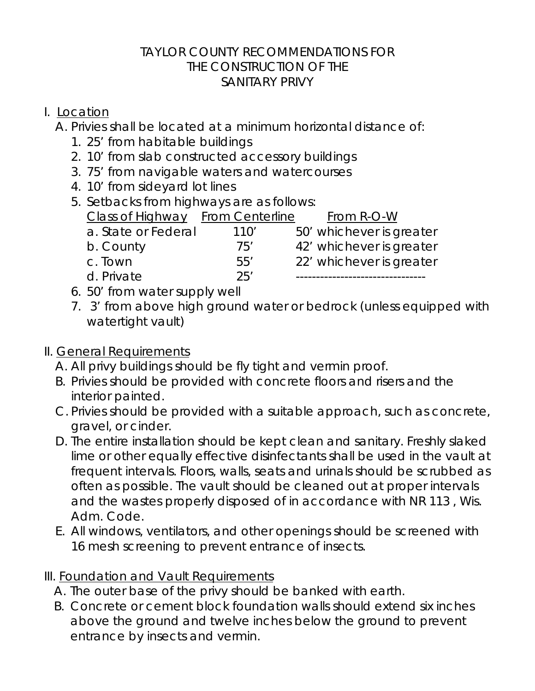### TAYLOR COUNTY RECOMMENDATIONS FOR THE CONSTRUCTION OF THE SANITARY PRIVY

### I. Location

A. Privies shall be located at a minimum horizontal distance of:

- 1. 25' from habitable buildings
- 2. 10' from slab constructed accessory buildings
- 3. 75' from navigable waters and watercourses
- 4. 10' from sideyard lot lines
- 5. Setbacks from highways are as follows:

| <b>Class of Highway</b> From Centerline |      | From R-O-W               |
|-----------------------------------------|------|--------------------------|
| a. State or Federal                     | 110' | 50' whichever is greater |
| b. County                               | 75'  | 42' whichever is greater |
| c. Town                                 | 55'  | 22' whichever is greater |
| d. Private                              | 25'  |                          |

- 6. 50' from water supply well
- 7. 3' from above high ground water or bedrock (unless equipped with watertight vault)

# II. General Requirements

- A. All privy buildings should be fly tight and vermin proof.
- B. Privies should be provided with concrete floors and risers and the interior painted.
- C. Privies should be provided with a suitable approach, such as concrete, gravel, or cinder.
- D. The entire installation should be kept clean and sanitary. Freshly slaked lime or other equally effective disinfectants shall be used in the vault at frequent intervals. Floors, walls, seats and urinals should be scrubbed as often as possible. The vault should be cleaned out at proper intervals and the wastes properly disposed of in accordance with NR 113 , Wis. Adm. Code.
- E. All windows, ventilators, and other openings should be screened with 16 mesh screening to prevent entrance of insects.
- III. Foundation and Vault Requirements
	- A. The outer base of the privy should be banked with earth.
	- B. Concrete or cement block foundation walls should extend six inches above the ground and twelve inches below the ground to prevent entrance by insects and vermin.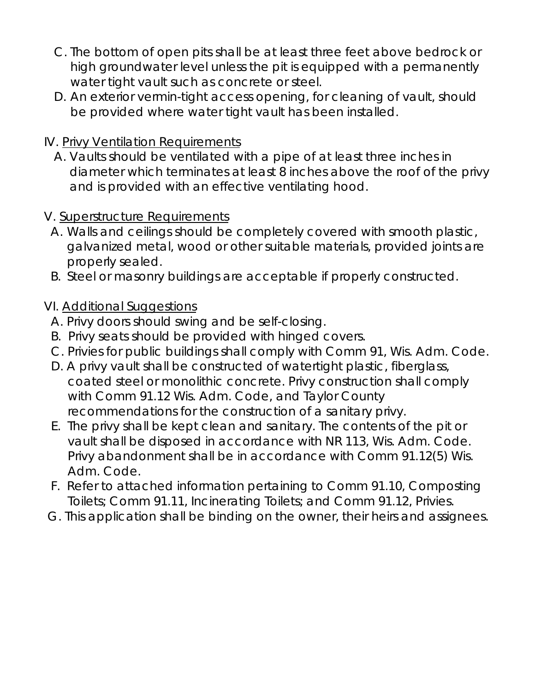- C. The bottom of open pits shall be at least three feet above bedrock or high groundwater level unless the pit is equipped with a permanently water tight vault such as concrete or steel.
- D. An exterior vermin-tight access opening, for cleaning of vault, should be provided where water tight vault has been installed.

### IV. Privy Ventilation Requirements

A. Vaults should be ventilated with a pipe of at least three inches in diameter which terminates at least 8 inches above the roof of the privy and is provided with an effective ventilating hood.

### V. Superstructure Requirements

- A. Walls and ceilings should be completely covered with smooth plastic, galvanized metal, wood or other suitable materials, provided joints are properly sealed.
- B. Steel or masonry buildings are acceptable if properly constructed.

### VI. Additional Suggestions

- A. Privy doors should swing and be self-closing.
- B. Privy seats should be provided with hinged covers.
- C. Privies for public buildings shall comply with Comm 91, Wis. Adm. Code.
- D. A privy vault shall be constructed of watertight plastic, fiberglass, coated steel or monolithic concrete. Privy construction shall comply with Comm 91.12 Wis. Adm. Code, and Taylor County recommendations for the construction of a sanitary privy.
- E. The privy shall be kept clean and sanitary. The contents of the pit or vault shall be disposed in accordance with NR 113, Wis. Adm. Code. Privy abandonment shall be in accordance with Comm 91.12(5) Wis. Adm. Code.
- F. Refer to attached information pertaining to Comm 91.10, Composting Toilets; Comm 91.11, Incinerating Toilets; and Comm 91.12, Privies.
- G. This application shall be binding on the owner, their heirs and assignees.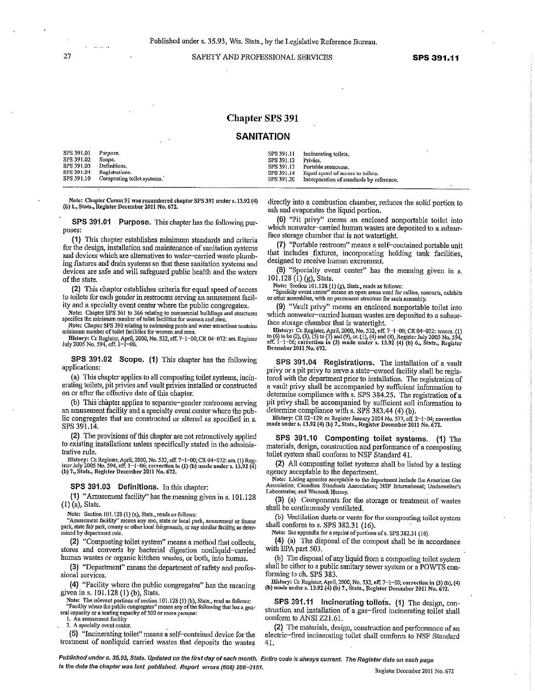SAFETY AND PROFESSIONAL SERVICES

#### **Chapter SPS 391**

#### **SANITATION**

| $SPS 391.01$ Purpose. |                                       |            | SPS 391.11 Incinerating toilets.                    |
|-----------------------|---------------------------------------|------------|-----------------------------------------------------|
| SPS 391.02            | Scope.                                | SPS 391.12 | Privies.                                            |
| SPS 391.03            | Definitions.                          |            | SPS 391.13 Portable restrooms.                      |
|                       | SPS 391,04 Registrations.             |            | SPS 391,14 Equal speed of access to toilets.        |
|                       | SPS 391.10 Composting to let systems. |            | SPS 391.20 Incorporation of standards by reference. |

Note: Chapter Comm 91 was renumbered chapter SPS 391 under s. 13.92 (4) (b) 1., Stats., Register December 2011 No. 672.

SPS 391.01 Purpose. This chapter has the following purposes:

(1) This chapter establishes minimum standards and criteria for the design, installation and maintenance of sanitation systems and devices which are alternatives to water-carried waste plumbing fixtures and drain systems so that these sanitation systems and devices are safe and will safeguard public health and the waters of the state.

(2) This chapter establishes criteria for equal speed of access to toilets for each gender in restrooms serving an amusement facility and a specialty event center where the public congregates.

Note: Chapter SPS 361 to 366 relating to commercial buildings and structures specifies the minimum number of toilet facilities for women and men

Note: Chapter SPS 390 relating to swimming pools and water attractions contains minimum number of toilet facilities for women and men.

History: Cr. Register, April, 2000, No. 532, eff. 7-1-00; CR 04-072: am. Register July 2005 No. 594, eff. 1-1-06.

SPS 391.02 Scope. (1) This chapter has the following applications:

(a) This chapter applies to all composting toilet systems, incinerating toilets, pit privies and vault privies installed or constructed on or after the effective date of this chapter.

(b) This chapter applies to separate-gender restrooms serving an amusement facility and a specialty event center where the public congregates that are constructed or altered as specified in s. SPS 391.14.

(2) The provisions of this chapter are not retroactively applied to existing installations unless specifically stated in the administrative rule.

History: Cr. Register, April, 2000, No. 532, eff. 7-1-00; CR 04-072: am. (1) Register July 2005 No. 594, eff. 1-1-06; correction in (1) (b) made under s. 13.92 (4) (b) 7., Stats., Register December 2011 No. 672.

SPS 391.03 Definitions. In this chapter:

(1) "Amusement facility" has the meaning given in s. 101.128  $(1)$  (a), Stats.

Note: Section 101.128 (1) (a), Stats., reads as follows:

'Amusement facility" means any zoo, state or local park, amusement or theme park, state fair park, county or other local fairgrounds, or any similar facility, as determined by department rule.

(2) "Composting toilet system" means a method that collects, stores and converts by bacterial digestion nonliquid-carried human wastes or organic kitchen wastes, or both, into humus.

(3) "Department" means the department of safety and professional services.

(4) "Facility where the public congregates" has the meaning given in s. 101.128 (1) (b), Stats.

Note: The relevant portions of section 101.128 (1) (b), Stats., read as follows: "Facility where the public congregates" means any of the following that has a general capacity or a seating capacity of 500 or more persons:

1. An amusement facility 3. A specialty event center,

(5) "Incinerating toilet" means a self-contained device for the treatment of nonliquid carried wastes that deposits the wastes

directly into a combustion chamber, reduces the solid portion to ash and evaporates the liquid portion.

(6) "Pit privy" means an enclosed nonportable toilet into which nonwater-carried human wastes are deposited to a subsurface storage chamber that is not watertight.

(7) "Portable restroom" means a self-contained portable unit that includes fixtures, incorporating holding tank facilities, designed to receive human excrement.

(8) "Specialty event center" has the meaning given in s. 101.128 (1) (g), Stats.

Note: Section 101.128 (1) (g), Stats., reads as follows:<br>"Specialty event center" means an open arena used for rallies, concerts, exhibits or other assemblies, with no permanent structure for such assembly

(9) "Vault privy" means an enclosed nonportable toilet into which nonwater-carried human wastes are deposited to a subsurface storage chamber that is watertight.

Elistory: Cr. Register, April, 2000, No. 532, eff. 7-1-00; CR 04-072: renum. (1)<br>to (6) to to (2), (3), (5) to (7) and (9), cr. (1), (4) and (8), Register July 2005 No. 594,<br>eff. 1-1-06; correction in (3) made under s. 13 December 2011 No. 672.

SPS 391.04 Registrations. The installation of a vault privy or a pit privy to serve a state-owned facility shall be registered with the department prior to installation. The registration of a vault privy shall be accompanied by sufficient information to determine compliance with s. SPS 384.25. The registration of a pit privy shall be accompanied by sufficient soil information to determine compliance with s. SPS 383.44 (4) (b).

History: CR 02-129: cr. Register January 2004 No. 377, eff. 2-1-04; correction made under s. 13.92 (4) (b) 7., Stats., Register December 2011 No. 672.

SPS 391.10 Composting toilet systems. (1) The materials, design, construction and performance of a composting toilet system shall conform to NSF Standard 41.

(2) All composting toilet systems shall be listed by a testing agency acceptable to the department.

Note: Listing agencies acceptable to the department include the American Gas<br>Association; Canadian Standards Association; NSF International; Underwriter's Laboratories: and Warnock Hersey,

(3) (a) Components for the storage or treatment of wastes shall be continuously ventilated.

(b) Ventilation ducts or vents for the composting toilet system shall conform to s. SPS 382.31 (16).

Note: See appendix for a reprint of portions of s. SPS 382.31 (16).

(4) (a) The disposal of the compost shall be in accordance with EPA part 503.

(b) The disposal of any liquid from a composting toilet system shall be either to a public sanitary sewer system or a POWTS conforming to ch. SPS 383.

Vistory: Cr. Register, April, 2000, No. 532, eff. 7-1-00; correction in (3) (b), (4)<br>(b) made under s. 13.92 (4) (b) 7., Stats., Register December 2011 No. 672.

SPS 391.11 Incinerating toilets. (1) The design, construction and installation of a gas-fired incinerating toilet shall conform to ANSI Z21.61.

(2) The materials, design, construction and performance of an electric-fired incinerating toilet shall conform to NSF Standard 41.

Published under s. 35.93, Stats. Updated on the first day of each month. Entire code is always current. The Register date on each page is the date the chapter was last published. Report errors (608) 266-3151.

Register December 2011 No. 672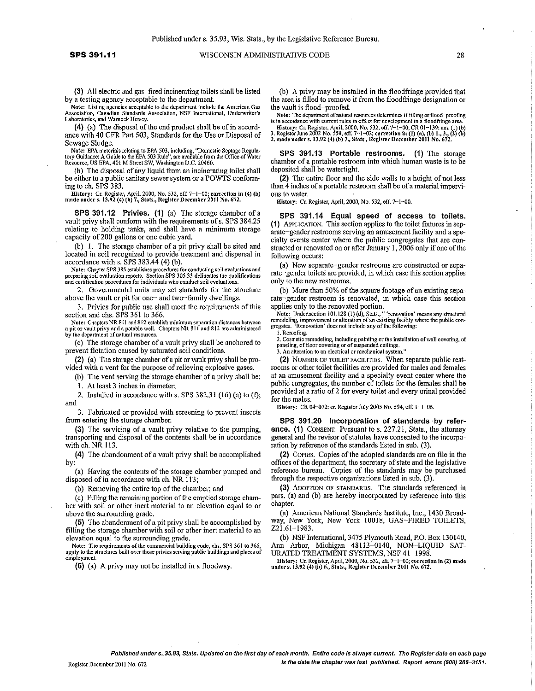(3) All electric and gas-fired incinerating toilets shall be listed by a testing agency acceptable to the department.

Note: Listing agencies acceptable to the department include the American Gas<br>Association, Canadian Standards Association, NSF International, Underwriter's<br>Laboratories, and Warnock Hersey.

(4) (a) The disposal of the end product shall be of in accordance with 40 CFR Part 503, Standards for the Use or Disposal of Sewage Sludge.

Note: EPA materials relating to EPA 503, including, "Domestic Septage Regulatory Guidance: A Guide to the EPA 503 Rule", are available from the Office of Water Resource, US EPA, 401 M Street SW, Washington D.C. 20460.

(b) The disposal of any liquid from an incinerating toilet shall be either to a public sanitary sewer system or a POWTS conforming to ch. SPS 383.

115 User: Gr. Register, April, 2000, No. 532, eff. 7-1-00; correction in (4) (b)<br>made under s. 13.92 (4) (b) 7., Stats., Register December 2011 No. 672.

SPS 391.12 Privies. (1) (a) The storage chamber of a vault privy shall conform with the requirements of s. SPS 384.25 relating to holding tanks, and shall have a minimum storage capacity of 200 gallons or one cubic yard,

(b) 1. The storage chamber of a pit privy shall be sited and located in soil recognized to provide treatment and dispersal in accordance with s.  $\overline{S}PS 383.44$  (4) (b).

Note: Chapter SPS 385 establishes procedures for conducting soil evaluations and<br>preparing soil evaluation reports. Section SPS 305.33 delineates the qualifications<br>and certification procedures for individuals who conduct

2. Governmental units may set standards for the structure above the vault or pit for one- and two-family dwellings.

3. Privies for public use shall meet the requirements of this section and chs. SPS 361 to 366.

Note: Chapters NR 811 and 812 establish minimum separation distances between<br>a pit or vault privy and a potable well. Chapters NR 811 and 812 are administered<br>by the department of natural resources.

(c) The storage chamber of a vault privy shall be anchored to prevent flotation caused by saturated soil conditions.

(2) (a) The storage chamber of a pit or vault privy shall be provided with a vent for the purpose of relieving explosive gases.

(b) The vent serving the storage chamber of a privy shall be:

1. At least 3 inches in diameter;

2. Installed in accordance with s. SPS 382.31 (16) (a) to  $(f)$ ; and

3. Fabricated or provided with screening to prevent insects from entering the storage chamber.

(3) The servicing of a vault privy relative to the pumping, transporting and disposal of the contents shall be in accordance with ch. NR 113.

(4) The abandonment of a vault privy shall be accomplished by:

(a) Having the contents of the storage chamber pumped and disposed of in accordance with ch. NR 113;

(b) Removing the entire top of the chamber; and

(c) Filling the remaining portion of the emptied storage chamber with soil or other inert material to an elevation equal to or above the surrounding grade.

(5) The abandonment of a pit privy shall be accomplished by filling the storage chamber with soil or other inert material to an elevation equal to the surrounding grade.

The requirements of the commercial building code, chs. SPS 361 to 366, apply to the structures built over those privies serving public buildings and places of employment. Note: The requirements of the commercial building code, chs. SPS 361 to 366,

(6) (a) A privy may not be installed in a floodway.

(b) A privy may be installed in the floodfringe provided that the area is filled to remove it from the floodfringe designation or the vault is flood-proofed.

Note: The department of natural resources determines if filling or flood-proofing<br>is in accordance with current rules in effect for development in a floodfringe area.

is in eccourance with cattering and external in the incoming area.<br>
History: Cr. Register, April, 2000, No. 532, eff. 7–1–00; CR 01–139: am. (1) (b)<br>
3. Register June 2002 No. 558, eff. 7–1–02; correction in (1) (a), (b)

SPS 391.13 Portable restrooms. (1) The storage chamber of a portable restroom into which human waste is to be deposited shall be watertight.

(2) The entire floor and the side walls to a height of not less than 4 inches of a portable restroom shall be of a material impervious to water.

History: Cr. Register, April, 2000, No. 532, eff. 7-1-00.

SPS 391.14 Equal speed of access to toilets. (1) APPLICATION. This section applies to the toilet fixtures in separate-gender restrooms serving an amusement facility and a specialty events center where the public congregates that are constructed or renovated on or after January 1, 2006 only if one of the following occurs:

(a) New separate-gender restrooms are constructed or separate-gender toilets are provided, in which case this section applies only to the new restrooms.

(b) More than 50% of the square footage of an existing separate-gender restroom is renovated, in which case this section applies only to the renovated portion.

The Solution of the Solution of the Solution of the Solution of the Solution of the condition of the condition of the existing facility where the public congregates. 'Renovation' does not include any of the following:

1. Reroofing.

2. Cosmetic remodeling, including painting or the installation of wall covering, of paneling, of floor covering or of suspended ceilings.

3. An alteration to an electrical or mechanical system."

(2) NUMBER OF TOILET FACILITIES. When separate public restrooms or other toilet facilities are provided for males and females at an amusement facility and a specialty event center where the public congregates, the number of toilets for the females shall be provided at a ratio of 2 for every toilet and every urinal provided for the males.

History: CR 04-072: cr. Register July 2005 No. 594, eff. 1-1-06.

SPS 391.20 Incorporation of standards by reference. (1) CONSENT. Pursuant to s. 227.21, Stats., the attorney general and the revisor of statutes have consented to the incorporation by reference of the standards listed in sub. (3).

(2) COPIES. Copies of the adopted standards are on file in the offices of the department, the secretary of state and the legislative reference bureau. Copies of the standards may be purchased through the respective organizations listed in sub. (3).

(3) ADOPTION OF STANDARDS. The standards referenced in pars. (a) and (b) are hereby incorporated by reference into this chapter.

(a) American National Standards Institute, Inc., 1430 Broadway, New York, New York 10018, GAS-FIRED TOILETS, Z21.61-1983.

(b) NSF International, 3475 Plymouth Road, P.O. Box 130140, Ann Arbor, Michigan 48113-0140, NON-LIQUID SAT-URATED TREATMENT SYSTEMS, NSF 41-1998.

History: Cr. Register, April, 2000, No. 532, eff. 7-1-00; correction in (2) made under s. 13.92 (4) (b) 6., Stats., Register December 2011 No. 672.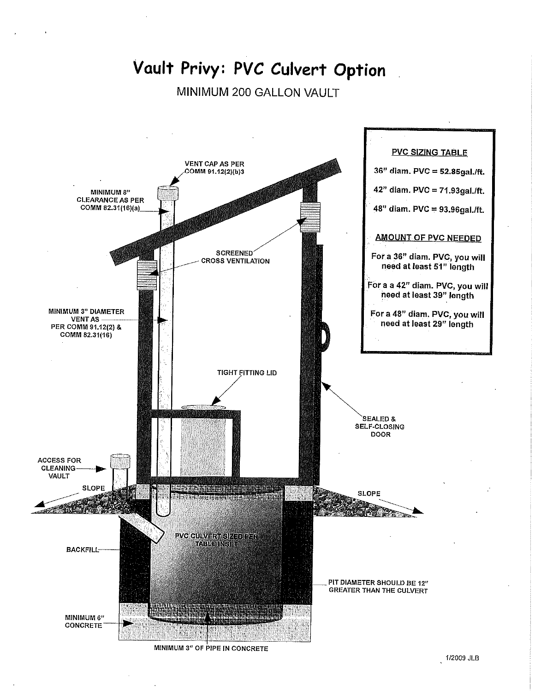# Vault Privy: PVC Culvert Option

## MINIMUM 200 GALLON VAULT

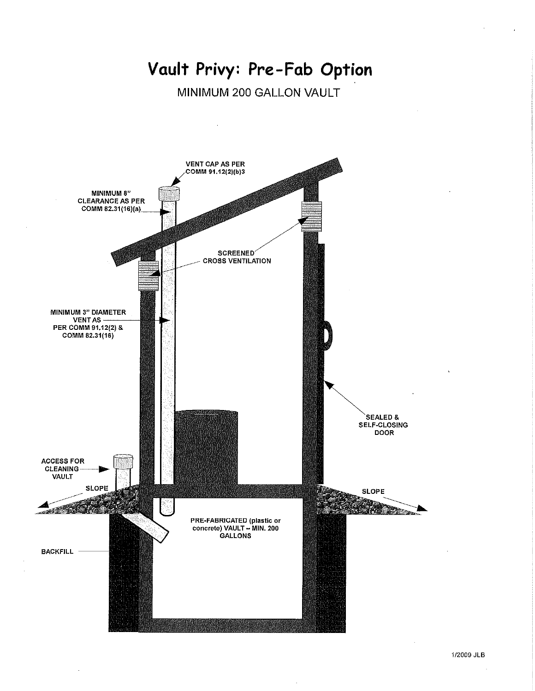# Vault Privy: Pre-Fab Option

MINIMUM 200 GALLON VAULT

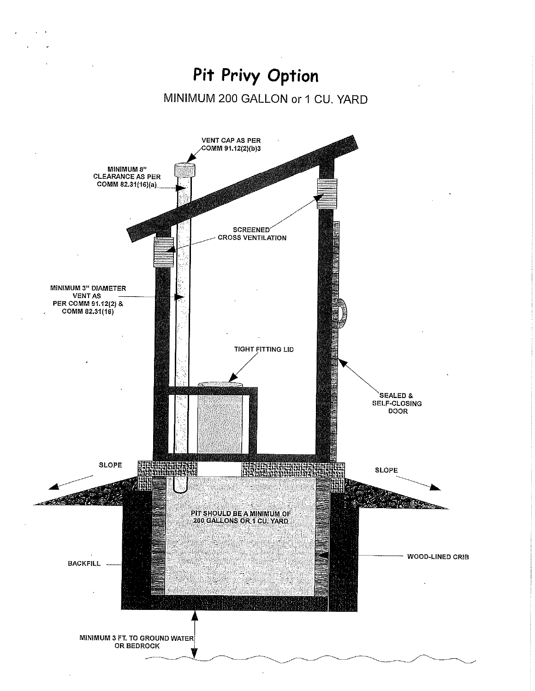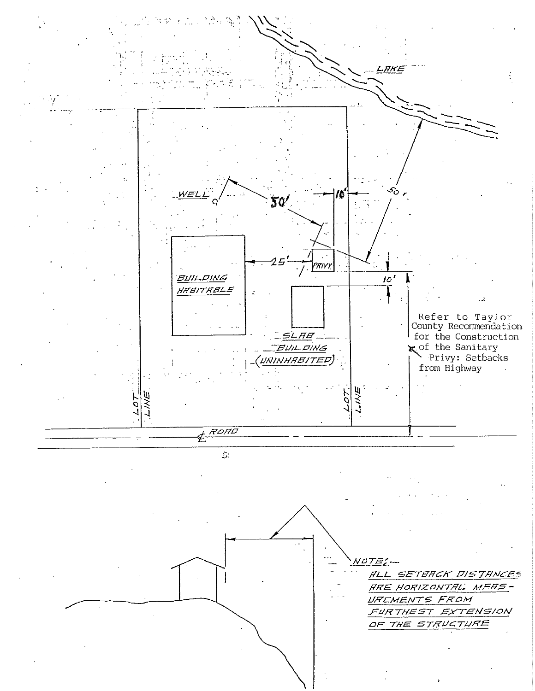